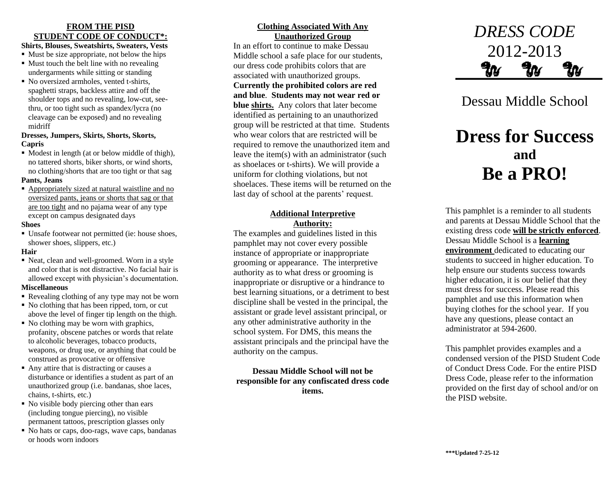# **FROM THE PISD STUDENT CODE OF CONDUCT\*:**

## **Shirts, Blouses, Sweatshirts, Sweaters, Vests**

- $\blacksquare$  Must be size appropriate, not below the hips
- $\blacksquare$  Must touch the belt line with no revealing undergarments while sitting or standing
- No oversized armholes, vented t-shirts, spaghetti straps, backless attire and off the shoulder tops and no revealing, low-cut, seethru, or too tight such as spandex/lycra (no cleavage can be exposed) and no revealing midriff

#### **Dresses, Jumpers, Skirts, Shorts, Skorts, Capris**

• Modest in length (at or below middle of thigh), no tattered shorts, biker shorts, or wind shorts, no clothing/shorts that are too tight or that sag

#### **Pants, Jeans**

 Appropriately sized at natural waistline and no oversized pants, jeans or shorts that sag or that are too tight and no pajama wear of any type except on campus designated days

#### **Shoes**

 Unsafe footwear not permitted (ie: house shoes, shower shoes, slippers, etc.)

#### **Hair**

 Neat, clean and well-groomed. Worn in a style and color that is not distractive. No facial hair is allowed except with physician's documentation.

## **Miscellaneous**

- Revealing clothing of any type may not be worn
- No clothing that has been ripped, torn, or cut above the level of finger tip length on the thigh.
- No clothing may be worn with graphics, profanity, obscene patches or words that relate to alcoholic beverages, tobacco products, weapons, or drug use, or anything that could be construed as provocative or offensive
- Any attire that is distracting or causes a disturbance or identifies a student as part of an unauthorized group (i.e. bandanas, shoe laces, chains, t-shirts, etc.)
- No visible body piercing other than ears (including tongue piercing), no visible permanent tattoos, prescription glasses only
- No hats or caps, doo-rags, wave caps, bandanas or hoods worn indoors

# **Clothing Associated With Any Unauthorized Group**

In an effort to continue to make Dessau Middle school a safe place for our students, our dress code prohibits colors that are associated with unauthorized groups. **Currently the prohibited colors are red and blue**. **Students may not wear red or blue shirts.** Any colors that later become identified as pertaining to an unauthorized group will be restricted at that time. Students who wear colors that are restricted will be required to remove the unauthorized item and leave the item(s) with an administrator (such as shoelaces or t-shirts). We will provide a uniform for clothing violations, but not shoelaces. These items will be returned on the last day of school at the parents' request.

# **Additional Interpretive Authority:**

The examples and guidelines listed in this pamphlet may not cover every possible instance of appropriate or inappropriate grooming or appearance. The interpretive authority as to what dress or grooming is inappropriate or disruptive or a hindrance to best learning situations, or a detriment to best discipline shall be vested in the principal, the assistant or grade level assistant principal, or any other administrative authority in the school system. For DMS, this means the assistant principals and the principal have the authority on the campus.

**Dessau Middle School will not be responsible for any confiscated dress code items.**



Dessau Middle School

# **Dress for Success and Be a PRO!**

This pamphlet is a reminder to all students and parents at Dessau Middle School that the existing dress code **will be strictly enforced**. Dessau Middle School is a **learning environment** dedicated to educating our students to succeed in higher education. To help ensure our students success towards higher education, it is our belief that they must dress for success. Please read this pamphlet and use this information when buying clothes for the school year. If you have any questions, please contact an administrator at 594-2600.

This pamphlet provides examples and a condensed version of the PISD Student Code of Conduct Dress Code. For the entire PISD Dress Code, please refer to the information provided on the first day of school and/or on the PISD website.